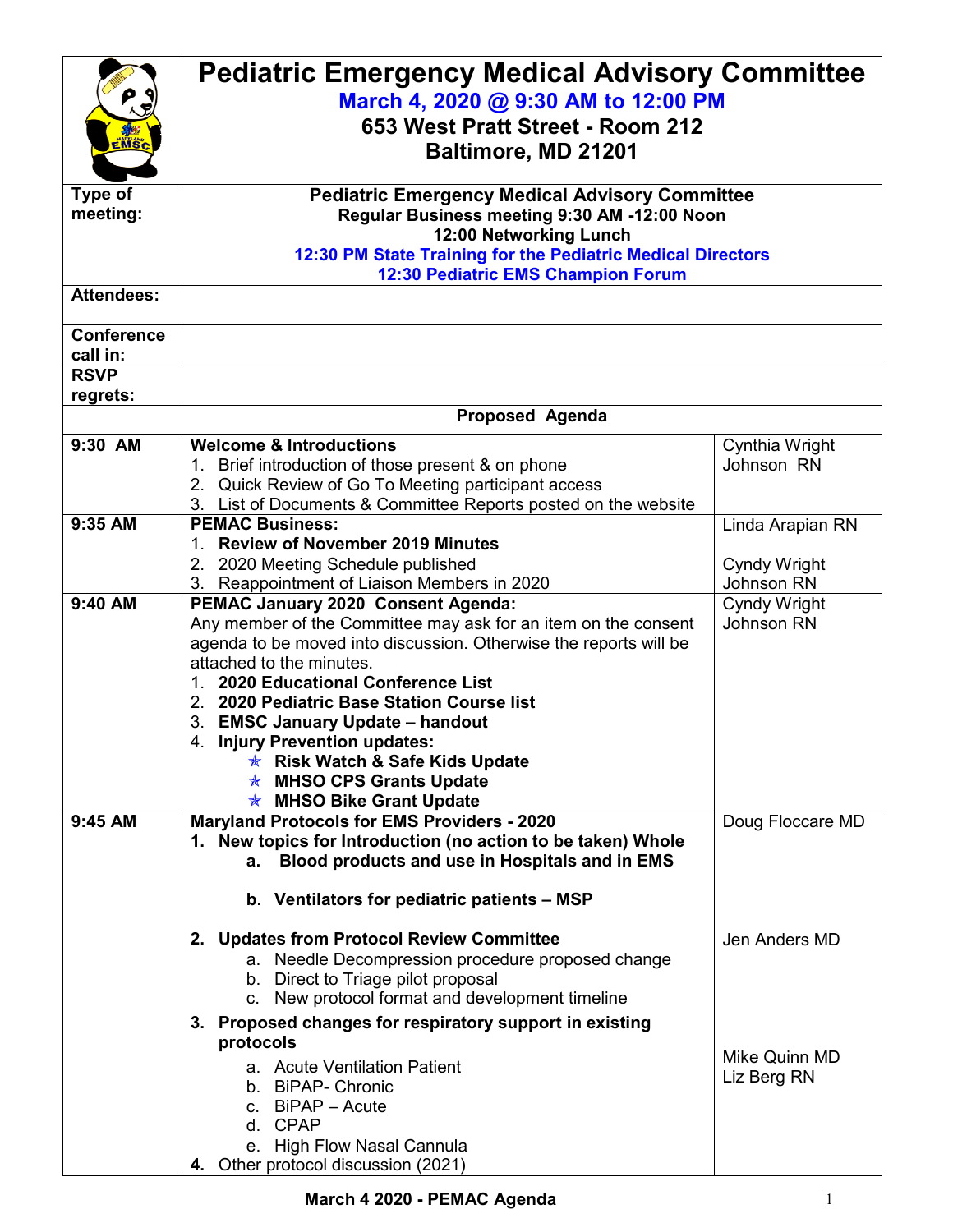|                         | <b>Pediatric Emergency Medical Advisory Committee</b><br>March 4, 2020 @ 9:30 AM to 12:00 PM |                              |  |
|-------------------------|----------------------------------------------------------------------------------------------|------------------------------|--|
|                         |                                                                                              |                              |  |
|                         | 653 West Pratt Street - Room 212                                                             |                              |  |
| EMSC                    |                                                                                              |                              |  |
|                         | Baltimore, MD 21201                                                                          |                              |  |
| Type of                 | <b>Pediatric Emergency Medical Advisory Committee</b>                                        |                              |  |
| meeting:                | Regular Business meeting 9:30 AM -12:00 Noon                                                 |                              |  |
|                         | 12:00 Networking Lunch                                                                       |                              |  |
|                         | 12:30 PM State Training for the Pediatric Medical Directors                                  |                              |  |
|                         | 12:30 Pediatric EMS Champion Forum                                                           |                              |  |
| <b>Attendees:</b>       |                                                                                              |                              |  |
|                         |                                                                                              |                              |  |
| <b>Conference</b>       |                                                                                              |                              |  |
| call in:<br><b>RSVP</b> |                                                                                              |                              |  |
| regrets:                |                                                                                              |                              |  |
|                         | <b>Proposed Agenda</b>                                                                       |                              |  |
|                         |                                                                                              |                              |  |
| 9:30 AM                 | <b>Welcome &amp; Introductions</b><br>1. Brief introduction of those present & on phone      | Cynthia Wright<br>Johnson RN |  |
|                         | 2. Quick Review of Go To Meeting participant access                                          |                              |  |
|                         | 3. List of Documents & Committee Reports posted on the website                               |                              |  |
| 9:35 AM                 | <b>PEMAC Business:</b>                                                                       | Linda Arapian RN             |  |
|                         | 1. Review of November 2019 Minutes                                                           |                              |  |
|                         | 2. 2020 Meeting Schedule published                                                           | <b>Cyndy Wright</b>          |  |
|                         | Reappointment of Liaison Members in 2020<br>3.                                               | Johnson RN                   |  |
| 9:40 AM                 | PEMAC January 2020 Consent Agenda:                                                           | Cyndy Wright                 |  |
|                         | Any member of the Committee may ask for an item on the consent                               | Johnson RN                   |  |
|                         | agenda to be moved into discussion. Otherwise the reports will be                            |                              |  |
|                         | attached to the minutes.                                                                     |                              |  |
|                         | 1. 2020 Educational Conference List<br>2. 2020 Pediatric Base Station Course list            |                              |  |
|                         | 3. EMSC January Update - handout                                                             |                              |  |
|                         | 4. Injury Prevention updates:                                                                |                              |  |
|                         | <b>★ Risk Watch &amp; Safe Kids Update</b>                                                   |                              |  |
|                         | <b>★ MHSO CPS Grants Update</b>                                                              |                              |  |
|                         | <b>★ MHSO Bike Grant Update</b>                                                              |                              |  |
| 9:45 AM                 | <b>Maryland Protocols for EMS Providers - 2020</b>                                           | Doug Floccare MD             |  |
|                         | 1. New topics for Introduction (no action to be taken) Whole                                 |                              |  |
|                         | Blood products and use in Hospitals and in EMS<br>а.                                         |                              |  |
|                         | b. Ventilators for pediatric patients - MSP                                                  |                              |  |
|                         | 2. Updates from Protocol Review Committee                                                    | Jen Anders MD                |  |
|                         | a. Needle Decompression procedure proposed change                                            |                              |  |
|                         | b. Direct to Triage pilot proposal                                                           |                              |  |
|                         | c. New protocol format and development timeline                                              |                              |  |
|                         | 3. Proposed changes for respiratory support in existing                                      |                              |  |
|                         | protocols                                                                                    |                              |  |
|                         | a. Acute Ventilation Patient                                                                 | Mike Quinn MD                |  |
|                         | b. BiPAP- Chronic                                                                            | Liz Berg RN                  |  |
|                         | c. BiPAP - Acute                                                                             |                              |  |
|                         | d. CPAP                                                                                      |                              |  |
|                         | e. High Flow Nasal Cannula                                                                   |                              |  |
|                         | 4. Other protocol discussion (2021)                                                          |                              |  |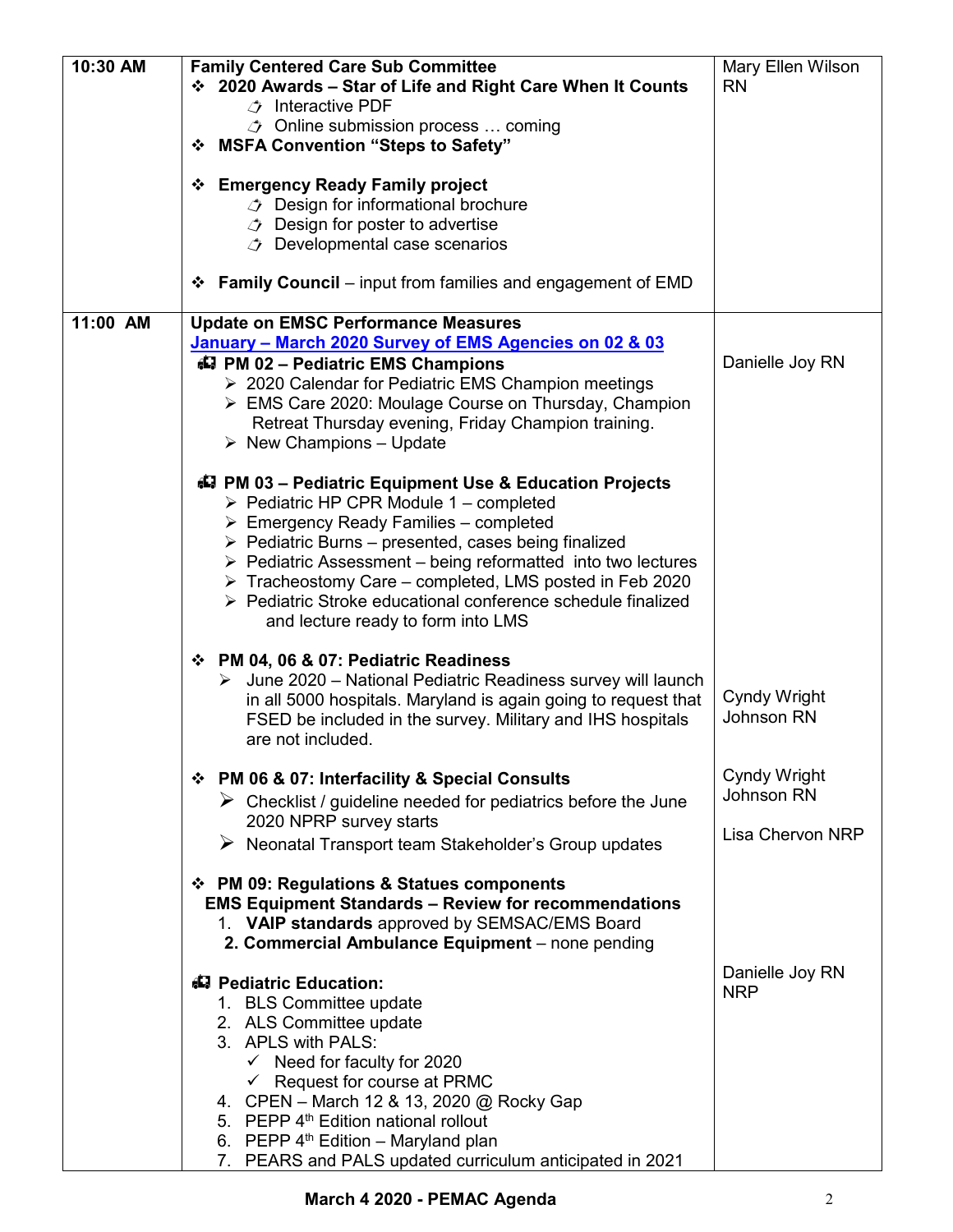| 10:30 AM | <b>Family Centered Care Sub Committee</b>                                                                                                          | Mary Ellen Wilson                 |
|----------|----------------------------------------------------------------------------------------------------------------------------------------------------|-----------------------------------|
|          | ❖ 2020 Awards - Star of Life and Right Care When It Counts<br>$\rightarrow$ Interactive PDF                                                        | <b>RN</b>                         |
|          | $\circled{1}$ Online submission process  coming                                                                                                    |                                   |
|          | ❖ MSFA Convention "Steps to Safety"                                                                                                                |                                   |
|          |                                                                                                                                                    |                                   |
|          | ❖ Emergency Ready Family project                                                                                                                   |                                   |
|          | <b><i><math>\rightarrow</math></i></b> Design for informational brochure<br><b><i><math>\rightarrow</math></i></b> Design for poster to advertise  |                                   |
|          | <b><i><math>\rightarrow</math></i></b> Developmental case scenarios                                                                                |                                   |
|          |                                                                                                                                                    |                                   |
|          | <b>Family Council</b> – input from families and engagement of EMD<br>❖                                                                             |                                   |
| 11:00 AM | <b>Update on EMSC Performance Measures</b>                                                                                                         |                                   |
|          | January - March 2020 Survey of EMS Agencies on 02 & 03                                                                                             |                                   |
|          | 47 PM 02 - Pediatric EMS Champions<br>> 2020 Calendar for Pediatric EMS Champion meetings                                                          | Danielle Joy RN                   |
|          | EMS Care 2020: Moulage Course on Thursday, Champion                                                                                                |                                   |
|          | Retreat Thursday evening, Friday Champion training.                                                                                                |                                   |
|          | $\triangleright$ New Champions - Update                                                                                                            |                                   |
|          | 47 PM 03 - Pediatric Equipment Use & Education Projects                                                                                            |                                   |
|          | $\triangleright$ Pediatric HP CPR Module 1 – completed                                                                                             |                                   |
|          | $\triangleright$ Emergency Ready Families – completed                                                                                              |                                   |
|          | $\triangleright$ Pediatric Burns – presented, cases being finalized<br>$\triangleright$ Pediatric Assessment – being reformatted into two lectures |                                   |
|          | > Tracheostomy Care - completed, LMS posted in Feb 2020                                                                                            |                                   |
|          | ▶ Pediatric Stroke educational conference schedule finalized                                                                                       |                                   |
|          | and lecture ready to form into LMS                                                                                                                 |                                   |
|          | ❖ PM 04, 06 & 07: Pediatric Readiness                                                                                                              |                                   |
|          | $\triangleright$ June 2020 – National Pediatric Readiness survey will launch                                                                       |                                   |
|          | in all 5000 hospitals. Maryland is again going to request that                                                                                     | Cyndy Wright<br><b>Johnson RN</b> |
|          | FSED be included in the survey. Military and IHS hospitals<br>are not included.                                                                    |                                   |
|          |                                                                                                                                                    |                                   |
|          | ❖ PM 06 & 07: Interfacility & Special Consults                                                                                                     | Cyndy Wright<br>Johnson RN        |
|          | $\triangleright$ Checklist / guideline needed for pediatrics before the June<br>2020 NPRP survey starts                                            |                                   |
|          | $\triangleright$ Neonatal Transport team Stakeholder's Group updates                                                                               | <b>Lisa Chervon NRP</b>           |
|          |                                                                                                                                                    |                                   |
|          | ❖ PM 09: Regulations & Statues components                                                                                                          |                                   |
|          | <b>EMS Equipment Standards - Review for recommendations</b><br>1. VAIP standards approved by SEMSAC/EMS Board                                      |                                   |
|          | 2. Commercial Ambulance Equipment - none pending                                                                                                   |                                   |
|          |                                                                                                                                                    | Danielle Joy RN                   |
|          | 43 Pediatric Education:                                                                                                                            | <b>NRP</b>                        |
|          | 1. BLS Committee update<br>2. ALS Committee update                                                                                                 |                                   |
|          | 3. APLS with PALS:                                                                                                                                 |                                   |
|          | $\checkmark$ Need for faculty for 2020                                                                                                             |                                   |
|          | $\checkmark$ Request for course at PRMC                                                                                                            |                                   |
|          | 4. CPEN - March 12 & 13, 2020 @ Rocky Gap<br>5. PEPP 4 <sup>th</sup> Edition national rollout                                                      |                                   |
|          | 6. PEPP 4 <sup>th</sup> Edition - Maryland plan                                                                                                    |                                   |
|          | 7. PEARS and PALS updated curriculum anticipated in 2021                                                                                           |                                   |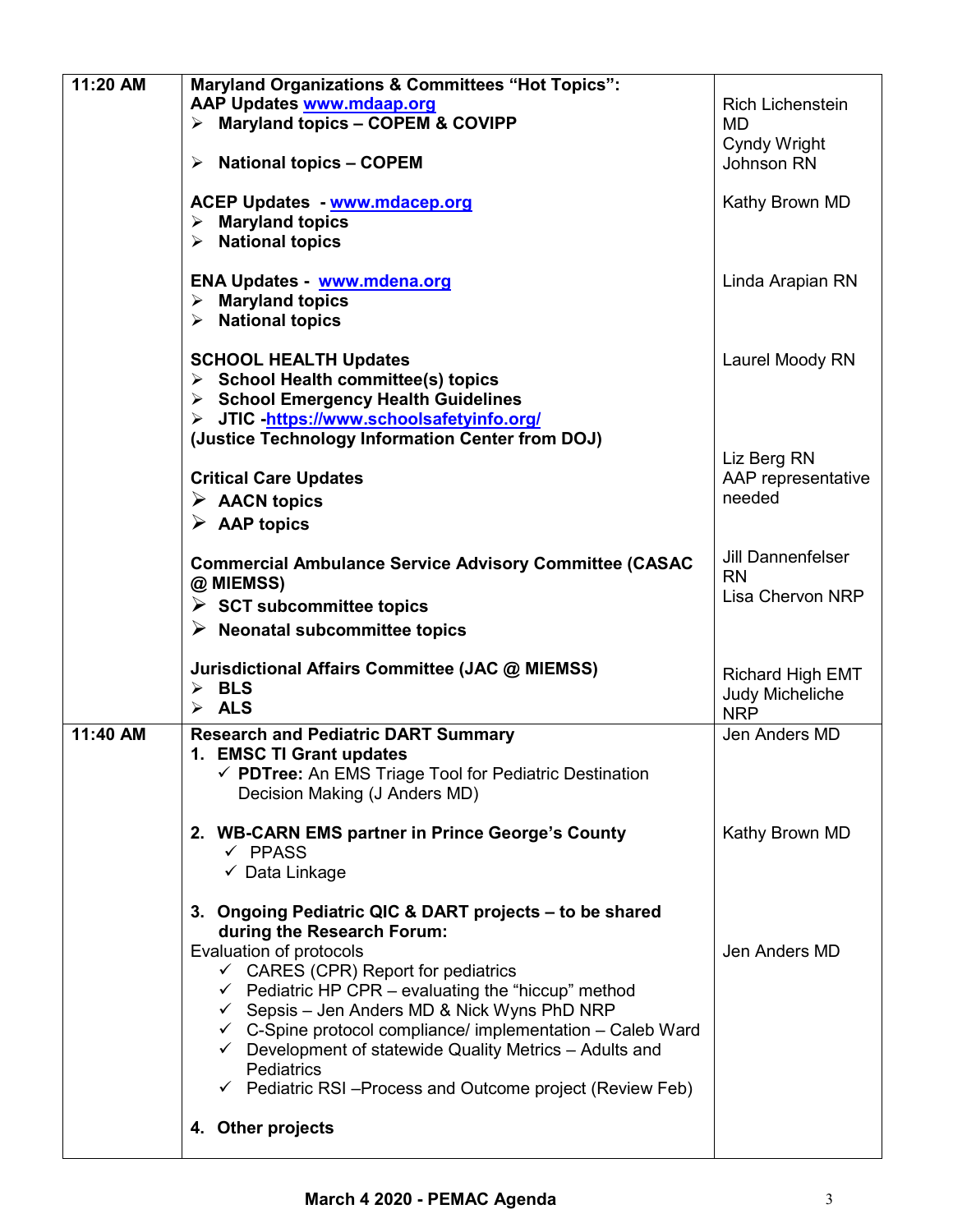| 11:20 AM | <b>Maryland Organizations &amp; Committees "Hot Topics":</b><br>AAP Updates www.mdaap.org<br>> Maryland topics - COPEM & COVIPP<br>$\triangleright$ National topics - COPEM<br><b>ACEP Updates - www.mdacep.org</b><br>$\triangleright$ Maryland topics<br>$\triangleright$ National topics                                                                                                                                                                                                                                     | <b>Rich Lichenstein</b><br>MD<br>Cyndy Wright<br>Johnson RN<br>Kathy Brown MD |
|----------|---------------------------------------------------------------------------------------------------------------------------------------------------------------------------------------------------------------------------------------------------------------------------------------------------------------------------------------------------------------------------------------------------------------------------------------------------------------------------------------------------------------------------------|-------------------------------------------------------------------------------|
|          | ENA Updates - www.mdena.org<br>$\triangleright$ Maryland topics<br>$\triangleright$ National topics                                                                                                                                                                                                                                                                                                                                                                                                                             | Linda Arapian RN                                                              |
|          | <b>SCHOOL HEALTH Updates</b><br>$\triangleright$ School Health committee(s) topics<br>> School Emergency Health Guidelines<br>> JTIC -https://www.schoolsafetyinfo.org/                                                                                                                                                                                                                                                                                                                                                         | Laurel Moody RN                                                               |
|          | (Justice Technology Information Center from DOJ)<br><b>Critical Care Updates</b><br>$\triangleright$ AACN topics<br>$\triangleright$ AAP topics                                                                                                                                                                                                                                                                                                                                                                                 | Liz Berg RN<br>AAP representative<br>needed                                   |
|          | <b>Commercial Ambulance Service Advisory Committee (CASAC</b><br>@ MIEMSS)<br>$\triangleright$ SCT subcommittee topics<br>$\triangleright$ Neonatal subcommittee topics                                                                                                                                                                                                                                                                                                                                                         | <b>Jill Dannenfelser</b><br><b>RN</b><br>Lisa Chervon NRP                     |
|          | Jurisdictional Affairs Committee (JAC @ MIEMSS)<br>$\triangleright$ BLS<br>$\triangleright$ ALS                                                                                                                                                                                                                                                                                                                                                                                                                                 | <b>Richard High EMT</b><br>Judy Micheliche<br><b>NRP</b>                      |
| 11:40 AM | <b>Research and Pediatric DART Summary</b><br>1. EMSC TI Grant updates<br>√ PDTree: An EMS Triage Tool for Pediatric Destination<br>Decision Making (J Anders MD)                                                                                                                                                                                                                                                                                                                                                               | Jen Anders MD                                                                 |
|          | 2. WB-CARN EMS partner in Prince George's County<br>$\checkmark$ PPASS<br>✓ Data Linkage                                                                                                                                                                                                                                                                                                                                                                                                                                        | Kathy Brown MD                                                                |
|          | 3. Ongoing Pediatric QIC & DART projects – to be shared<br>during the Research Forum:<br>Evaluation of protocols<br>$\checkmark$ CARES (CPR) Report for pediatrics<br>$\checkmark$ Pediatric HP CPR – evaluating the "hiccup" method<br>← Sepsis – Jen Anders MD & Nick Wyns PhD NRP<br>$\checkmark$ C-Spine protocol compliance/ implementation – Caleb Ward<br>$\checkmark$ Development of statewide Quality Metrics - Adults and<br><b>Pediatrics</b><br>$\checkmark$ Pediatric RSI-Process and Outcome project (Review Feb) | Jen Anders MD                                                                 |
|          | 4. Other projects                                                                                                                                                                                                                                                                                                                                                                                                                                                                                                               |                                                                               |